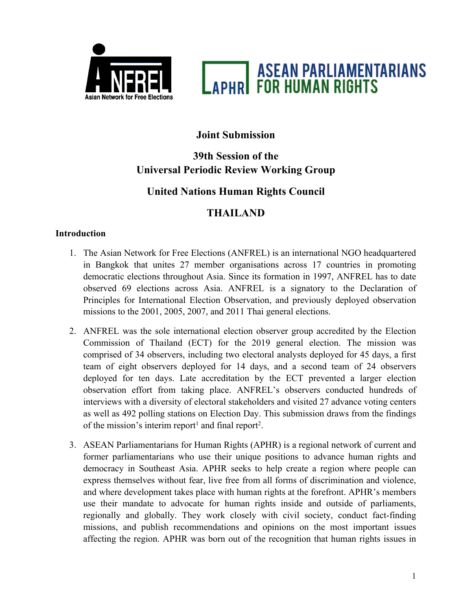



# **Joint Submission**

# **39th Session of the Universal Periodic Review Working Group**

# **United Nations Human Rights Council**

# **THAILAND**

## **Introduction**

- 1. The Asian Network for Free Elections (ANFREL) is an international NGO headquartered in Bangkok that unites 27 member organisations across 17 countries in promoting democratic elections throughout Asia. Since its formation in 1997, ANFREL has to date observed 69 elections across Asia. ANFREL is <sup>a</sup> signatory to the Declaration of Principles for International Election Observation, and previously deployed observation missions to the 2001, 2005, 2007, and 2011 Thai general elections.
- 2. ANFREL was the sole international election observer group accredited by the Election Commission of Thailand (ECT) for the 2019 general election. The mission was comprised of 34 observers, including two electoral analysts deployed for 45 days, <sup>a</sup> first team of eight observers deployed for 14 days, and <sup>a</sup> second team of 24 observers deployed for ten days. Late accreditation by the ECT prevented <sup>a</sup> larger election observation effort from taking place. ANFREL'<sup>s</sup> observers conducted hundreds of interviews with <sup>a</sup> diversity of electoral stakeholders and visited 27 advance voting centers as well as 492 polling stations on Election Day. This submission draws from the findings of the mission's interim report<sup>1</sup> and final report<sup>2</sup>.
- 3. ASEAN Parliamentarians for Human Rights (APHR) is <sup>a</sup> regional network of current and former parliamentarians who use their unique positions to advance human rights and democracy in Southeast Asia. APHR seeks to help create <sup>a</sup> region where people can express themselves without fear, live free from all forms of discrimination and violence, and where development takes place with human rights at the forefront. APHR'<sup>s</sup> members use their mandate to advocate for human rights inside and outside of parliaments, regionally and globally. They work closely with civil society, conduct fact-finding missions, and publish recommendations and opinions on the most important issues affecting the region. APHR was born out of the recognition that human rights issues in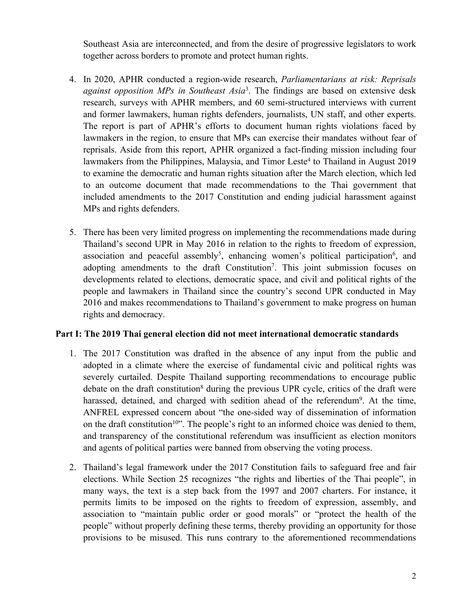Southeast Asia are interconnected, and from the desire of progressive legislators to work together across borders to promote and protect human rights.

- 4. In 2020, APHR conducted <sup>a</sup> region-wide research, *Parliamentarians at risk: Reprisals against opposition MPs in Southeast Asia*<sup>3</sup> . The findings are based on extensive desk research, surveys with APHR members, and 60 semi-structured interviews with current and former lawmakers, human rights defenders, journalists, UN staff, and other experts. The repor<sup>t</sup> is par<sup>t</sup> of APHR'<sup>s</sup> efforts to document human rights violations faced by lawmakers in the region, to ensure that MPs can exercise their mandates without fear of reprisals. Aside from this report, APHR organized <sup>a</sup> fact-finding mission including four lawmakers from the Philippines, Malaysia, and Timor Leste<sup>4</sup> to Thailand in August 2019 to examine the democratic and human rights situation after the March election, which led to an outcome document that made recommendations to the Thai governmen<sup>t</sup> that included amendments to the 2017 Constitution and ending judicial harassment against MPs and rights defenders.
- 5. There has been very limited progress on implementing the recommendations made during Thailand'<sup>s</sup> second UPR in May 2016 in relation to the rights to freedom of expression, association and peaceful assembly<sup>5</sup>, enhancing women's political participation<sup>6</sup>, and adopting amendments to the draft Constitution<sup>7</sup>. This joint submission focuses on developments related to elections, democratic space, and civil and political rights of the people and lawmakers in Thailand since the country'<sup>s</sup> second UPR conducted in May 2016 and makes recommendations to Thailand'<sup>s</sup> governmen<sup>t</sup> to make progress on human rights and democracy.

### **Part I: The 2019 Thai general election did not meet international democratic standards**

- 1. The 2017 Constitution was drafted in the absence of any input from the public and adopted in <sup>a</sup> climate where the exercise of fundamental civic and political rights was severely curtailed. Despite Thailand supporting recommendations to encourage public debate on the draft constitution<sup>8</sup> during the previous UPR cycle, critics of the draft were harassed, detained, and charged with sedition ahead of the referendum<sup>9</sup>. At the time, ANFREL expressed concern about "the one-sided way of dissemination of information on the draft constitution<sup>10</sup>". The people's right to an informed choice was denied to them, and transparency of the constitutional referendum was insufficient as election monitors and agents of political parties were banned from observing the voting process.
- 2. Thailand'<sup>s</sup> legal framework under the 2017 Constitution fails to safeguard free and fair elections. While Section 25 recognizes "the rights and liberties of the Thai people", in many ways, the text is <sup>a</sup> step back from the 1997 and 2007 charters. For instance, it permits limits to be imposed on the rights to freedom of expression, assembly, and association to "maintain public order or good morals" or "protect the health of the people" without properly defining these terms, thereby providing an opportunity for those provisions to be misused. This runs contrary to the aforementioned recommendations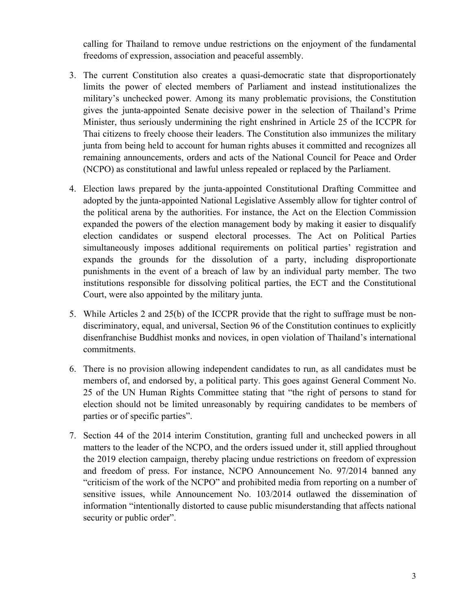calling for Thailand to remove undue restrictions on the enjoyment of the fundamental freedoms of expression, association and peaceful assembly.

- 3. The current Constitution also creates <sup>a</sup> quasi-democratic state that disproportionately limits the power of elected members of Parliament and instead institutionalizes the military'<sup>s</sup> unchecked power. Among its many problematic provisions, the Constitution gives the junta-appointed Senate decisive power in the selection of Thailand'<sup>s</sup> Prime Minister, thus seriously undermining the right enshrined in Article 25 of the ICCPR for Thai citizens to freely choose their leaders. The Constitution also immunizes the military junta from being held to account for human rights abuses it committed and recognizes all remaining announcements, orders and acts of the National Council for Peace and Order (NCPO) as constitutional and lawful unless repealed or replaced by the Parliament.
- 4. Election laws prepared by the junta-appointed Constitutional Drafting Committee and adopted by the junta-appointed National Legislative Assembly allow for tighter control of the political arena by the authorities. For instance, the Act on the Election Commission expanded the powers of the election managemen<sup>t</sup> body by making it easier to disqualify election candidates or suspend electoral processes. The Act on Political Parties simultaneously imposes additional requirements on political parties' registration and expands the grounds for the dissolution of <sup>a</sup> party, including disproportionate punishments in the event of <sup>a</sup> breach of law by an individual party member. The two institutions responsible for dissolving political parties, the ECT and the Constitutional Court, were also appointed by the military junta.
- 5. While Articles 2 and 25(b) of the ICCPR provide that the right to suffrage must be nondiscriminatory, equal, and universal, Section 96 of the Constitution continues to explicitly disenfranchise Buddhist monks and novices, in open violation of Thailand'<sup>s</sup> international commitments.
- 6. There is no provision allowing independent candidates to run, as all candidates must be members of, and endorsed by, <sup>a</sup> political party. This goes against General Comment No. 25 of the UN Human Rights Committee stating that "the right of persons to stand for election should not be limited unreasonably by requiring candidates to be members of parties or of specific parties".
- 7. Section 44 of the 2014 interim Constitution, granting full and unchecked powers in all matters to the leader of the NCPO, and the orders issued under it, still applied throughout the 2019 election campaign, thereby placing undue restrictions on freedom of expression and freedom of press. For instance, NCPO Announcement No. 97/2014 banned any "criticism of the work of the NCPO" and prohibited media from reporting on <sup>a</sup> number of sensitive issues, while Announcement No. 103/2014 outlawed the dissemination of information "intentionally distorted to cause public misunderstanding that affects national security or public order".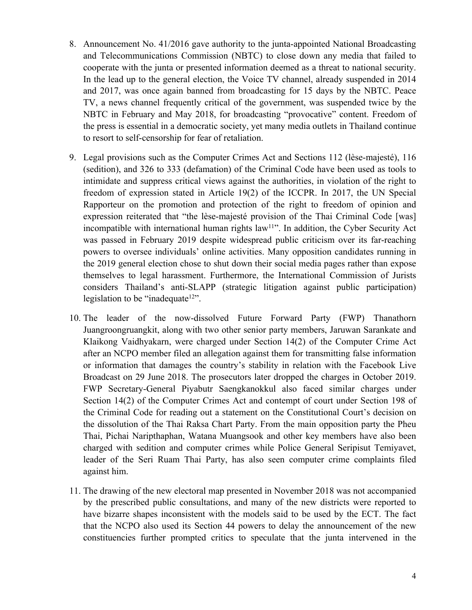- 8. Announcement No. 41/2016 gave authority to the junta-appointed National Broadcasting and Telecommunications Commission (NBTC) to close down any media that failed to cooperate with the junta or presented information deemed as <sup>a</sup> threat to national security. In the lead up to the general election, the Voice TV channel, already suspended in 2014 and 2017, was once again banned from broadcasting for 15 days by the NBTC. Peace TV, <sup>a</sup> news channel frequently critical of the government, was suspended twice by the NBTC in February and May 2018, for broadcasting "provocative" content. Freedom of the press is essential in <sup>a</sup> democratic society, ye<sup>t</sup> many media outlets in Thailand continue to resort to self-censorship for fear of retaliation.
- 9. Legal provisions such as the Computer Crimes Act and Sections 112 (lèse-majesté), 116 (sedition), and 326 to 333 (defamation) of the Criminal Code have been used as tools to intimidate and suppress critical views against the authorities, in violation of the right to freedom of expression stated in Article 19(2) of the ICCPR. In 2017, the UN Special Rapporteur on the promotion and protection of the right to freedom of opinion and expression reiterated that "the lèse-majesté provision of the Thai Criminal Code [was] incompatible with international human rights law<sup>11</sup>". In addition, the Cyber Security Act was passed in February 2019 despite widespread public criticism over its far-reaching powers to oversee individuals' online activities. Many opposition candidates running in the 2019 general election chose to shut down their social media pages rather than expose themselves to legal harassment. Furthermore, the International Commission of Jurists considers Thailand'<sup>s</sup> anti-SLAPP (strategic litigation against public participation) legislation to be "inadequate<sup>12</sup>".
- 10. The leader of the now-dissolved Future Forward Party (FWP) Thanathorn Juangroongruangkit, along with two other senior party members, Jaruwan Sarankate and Klaikong Vaidhyakarn, were charged under Section 14(2) of the Computer Crime Act after an NCPO member filed an allegation against them for transmitting false information or information that damages the country'<sup>s</sup> stability in relation with the Facebook Live Broadcast on 29 June 2018. The prosecutors later dropped the charges in October 2019. FWP Secretary-General Piyabutr Saengkanokkul also faced similar charges under Section 14(2) of the Computer Crimes Act and contempt of court under Section 198 of the Criminal Code for reading out <sup>a</sup> statement on the Constitutional Court'<sup>s</sup> decision on the dissolution of the Thai Raksa Chart Party. From the main opposition party the Pheu Thai, Pichai Naripthaphan, Watana Muangsook and other key members have also been charged with sedition and computer crimes while Police General Seripisut Temiyavet, leader of the Seri Ruam Thai Party, has also seen computer crime complaints filed against him.
- 11. The drawing of the new electoral map presented in November 2018 was not accompanied by the prescribed public consultations, and many of the new districts were reported to have bizarre shapes inconsistent with the models said to be used by the ECT. The fact that the NCPO also used its Section 44 powers to delay the announcement of the new constituencies further prompted critics to speculate that the junta intervened in the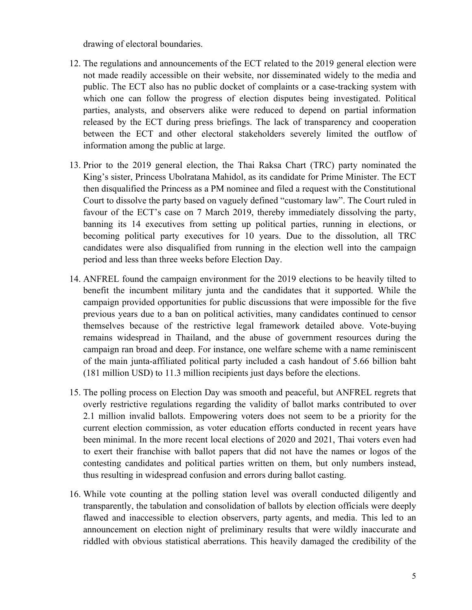drawing of electoral boundaries.

- 12. The regulations and announcements of the ECT related to the 2019 general election were not made readily accessible on their website, nor disseminated widely to the media and public. The ECT also has no public docket of complaints or <sup>a</sup> case-tracking system with which one can follow the progress of election disputes being investigated. Political parties, analysts, and observers alike were reduced to depend on partial information released by the ECT during press briefings. The lack of transparency and cooperation between the ECT and other electoral stakeholders severely limited the outflow of information among the public at large.
- 13. Prior to the 2019 general election, the Thai Raksa Chart (TRC) party nominated the King'<sup>s</sup> sister, Princess Ubolratana Mahidol, as its candidate for Prime Minister. The ECT then disqualified the Princess as <sup>a</sup> PM nominee and filed <sup>a</sup> reques<sup>t</sup> with the Constitutional Court to dissolve the party based on vaguely defined "customary law". The Court ruled in favour of the ECT'<sup>s</sup> case on 7 March 2019, thereby immediately dissolving the party, banning its 14 executives from setting up political parties, running in elections, or becoming political party executives for 10 years. Due to the dissolution, all TRC candidates were also disqualified from running in the election well into the campaign period and less than three weeks before Election Day.
- 14. ANFREL found the campaign environment for the 2019 elections to be heavily tilted to benefit the incumbent military junta and the candidates that it supported. While the campaign provided opportunities for public discussions that were impossible for the five previous years due to <sup>a</sup> ban on political activities, many candidates continued to censor themselves because of the restrictive legal framework detailed above. Vote-buying remains widespread in Thailand, and the abuse of governmen<sup>t</sup> resources during the campaign ran broad and deep. For instance, one welfare scheme with <sup>a</sup> name reminiscent of the main junta-affiliated political party included <sup>a</sup> cash handout of 5.66 billion baht (181 million USD) to 11.3 million recipients just days before the elections.
- 15. The polling process on Election Day was smooth and peaceful, but ANFREL regrets that overly restrictive regulations regarding the validity of ballot marks contributed to over 2.1 million invalid ballots. Empowering voters does not seem to be <sup>a</sup> priority for the current election commission, as voter education efforts conducted in recent years have been minimal. In the more recent local elections of 2020 and 2021, Thai voters even had to exert their franchise with ballot papers that did not have the names or logos of the contesting candidates and political parties written on them, but only numbers instead, thus resulting in widespread confusion and errors during ballot casting.
- 16. While vote counting at the polling station level was overall conducted diligently and transparently, the tabulation and consolidation of ballots by election officials were deeply flawed and inaccessible to election observers, party agents, and media. This led to an announcement on election night of preliminary results that were wildly inaccurate and riddled with obvious statistical aberrations. This heavily damaged the credibility of the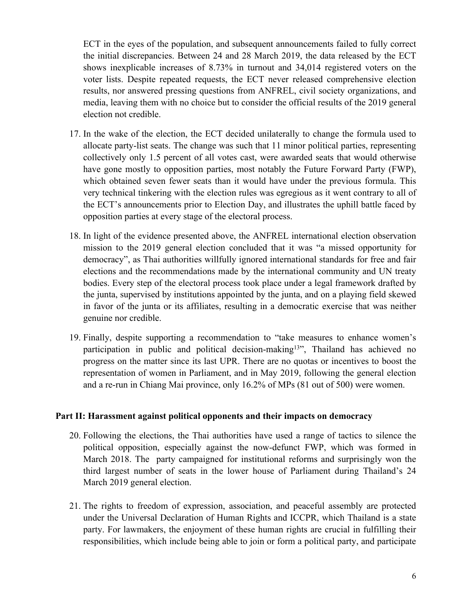ECT in the eyes of the population, and subsequent announcements failed to fully correct the initial discrepancies. Between 24 and 28 March 2019, the data released by the ECT shows inexplicable increases of 8.73% in turnout and 34,014 registered voters on the voter lists. Despite repeated requests, the ECT never released comprehensive election results, nor answered pressing questions from ANFREL, civil society organizations, and media, leaving them with no choice but to consider the official results of the 2019 general election not credible.

- 17. In the wake of the election, the ECT decided unilaterally to change the formula used to allocate party-list seats. The change was such that 11 minor political parties, representing collectively only 1.5 percen<sup>t</sup> of all votes cast, were awarded seats that would otherwise have gone mostly to opposition parties, most notably the Future Forward Party (FWP), which obtained seven fewer seats than it would have under the previous formula. This very technical tinkering with the election rules was egregious as it went contrary to all of the ECT'<sup>s</sup> announcements prior to Election Day, and illustrates the uphill battle faced by opposition parties at every stage of the electoral process.
- 18. In light of the evidence presented above, the ANFREL international election observation mission to the 2019 general election concluded that it was "<sup>a</sup> missed opportunity for democracy", as Thai authorities willfully ignored international standards for free and fair elections and the recommendations made by the international community and UN treaty bodies. Every step of the electoral process took place under <sup>a</sup> legal framework drafted by the junta, supervised by institutions appointed by the junta, and on <sup>a</sup> playing field skewed in favor of the junta or its affiliates, resulting in <sup>a</sup> democratic exercise that was neither genuine nor credible.
- 19. Finally, despite supporting <sup>a</sup> recommendation to "take measures to enhance women'<sup>s</sup> participation in public and political decision-making<sup>13</sup>", Thailand has achieved no progress on the matter since its last UPR. There are no quotas or incentives to boost the representation of women in Parliament, and in May 2019, following the general election and <sup>a</sup> re-run in Chiang Mai province, only 16.2% of MPs (81 out of 500) were women.

#### **Part II: Harassment against political opponents and their impacts on democracy**

- 20. Following the elections, the Thai authorities have used <sup>a</sup> range of tactics to silence the political opposition, especially against the now-defunct FWP, which was formed in March 2018. The party campaigned for institutional reforms and surprisingly won the third largest number of seats in the lower house of Parliament during Thailand'<sup>s</sup> 24 March 2019 general election.
- 21. The rights to freedom of expression, association, and peaceful assembly are protected under the Universal Declaration of Human Rights and ICCPR, which Thailand is <sup>a</sup> state party. For lawmakers, the enjoyment of these human rights are crucial in fulfilling their responsibilities, which include being able to join or form <sup>a</sup> political party, and participate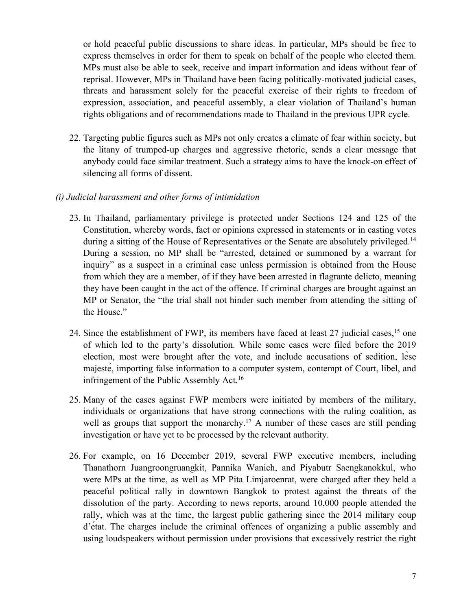or hold peaceful public discussions to share ideas. In particular, MPs should be free to express themselves in order for them to speak on behalf of the people who elected them. MPs must also be able to seek, receive and impart information and ideas without fear of reprisal. However, MPs in Thailand have been facing politically-motivated judicial cases, threats and harassment solely for the peaceful exercise of their rights to freedom of expression, association, and peaceful assembly, <sup>a</sup> clear violation of Thailand'<sup>s</sup> human rights obligations and of recommendations made to Thailand in the previous UPR cycle.

22. Targeting public figures such as MPs not only creates <sup>a</sup> climate of fear within society, but the litany of trumped-up charges and aggressive rhetoric, sends <sup>a</sup> clear message that anybody could face similar treatment. Such <sup>a</sup> strategy aims to have the knock-on effect of silencing all forms of dissent.

#### *(i) Judicial harassment and other forms of intimidation*

- 23. In Thailand, parliamentary privilege is protected under Sections 124 and 125 of the Constitution, whereby words, fact or opinions expressed in statements or in casting votes during <sup>a</sup> sitting of the House of Representatives or the Senate are absolutely privileged. 14 During <sup>a</sup> session, no MP shall be "arrested, detained or summoned by <sup>a</sup> warrant for inquiry" as <sup>a</sup> suspec<sup>t</sup> in <sup>a</sup> criminal case unless permission is obtained from the House from which they are <sup>a</sup> member, of if they have been arrested in flagrante delicto, meaning they have been caught in the act of the offence. If criminal charges are brought against an MP or Senator, the "the trial shall not hinder such member from attending the sitting of the House."
- 24. Since the establishment of FWP, its members have faced at least 27 judicial cases,<sup>15</sup> one of which led to the party'<sup>s</sup> dissolution. While some cases were filed before the 2019 election, most were brought after the vote, and include accusations of sedition, lèse majesté, importing false information to <sup>a</sup> computer system, contempt of Court, libel, and infringement of the Public Assembly Act.<sup>16</sup>
- 25. Many of the cases against FWP members were initiated by members of the military, individuals or organizations that have strong connections with the ruling coalition, as well as groups that support the monarchy.<sup>17</sup> A number of these cases are still pending investigation or have ye<sup>t</sup> to be processed by the relevant authority.
- 26. For example, on 16 December 2019, several FWP executive members, including Thanathorn Juangroongruangkit, Pannika Wanich, and Piyabutr Saengkanokkul, who were MPs at the time, as well as MP Pita Limjaroenrat, were charged after they held <sup>a</sup> peaceful political rally in downtown Bangkok to protest against the threats of the dissolution of the party. According to news reports, around 10,000 people attended the rally, which was at the time, the largest public gathering since the 2014 military coup <sup>d</sup>'état. The charges include the criminal offences of organizing <sup>a</sup> public assembly and using loudspeakers without permission under provisions that excessively restrict the right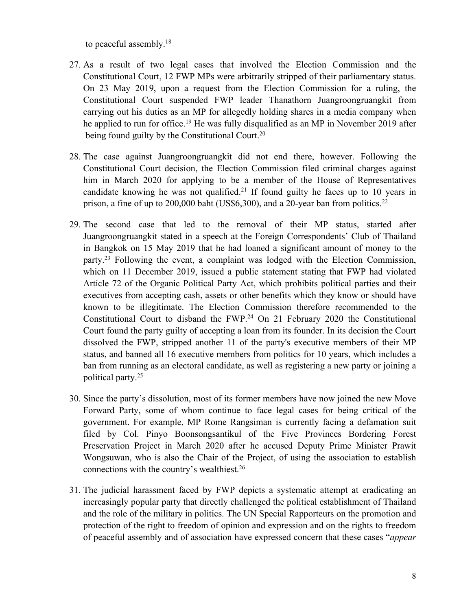to peaceful assembly. 18

- 27. As <sup>a</sup> result of two legal cases that involved the Election Commission and the Constitutional Court, 12 FWP MPs were arbitrarily stripped of their parliamentary status. On 23 May 2019, upon <sup>a</sup> reques<sup>t</sup> from the Election Commission for <sup>a</sup> ruling, the Constitutional Court suspended FWP leader Thanathorn Juangroongruangkit from carrying out his duties as an MP for allegedly holding shares in <sup>a</sup> media company when he applied to run for office.<sup>19</sup> He was fully disqualified as an MP in November 2019 after being found guilty by the Constitutional Court.<sup>20</sup>
- 28. The case against Juangroongruangkit did not end there, however. Following the Constitutional Court decision, the Election Commission filed criminal charges against him in March 2020 for applying to be <sup>a</sup> member of the House of Representatives candidate knowing he was not qualified. 21 If found guilty he faces up to 10 years in prison, <sup>a</sup> fine of up to 200,000 baht (US\$6,300), and <sup>a</sup> 20-year ban from politics. 22
- 29. The second case that led to the removal of their MP status, started after Juangroongruangkit stated in <sup>a</sup> speech at the Foreign Correspondents' Club of Thailand in Bangkok on 15 May 2019 that he had loaned <sup>a</sup> significant amount of money to the party. 23 Following the event, <sup>a</sup> complaint was lodged with the Election Commission, which on 11 December 2019, issued <sup>a</sup> public statement stating that FWP had violated Article 72 of the Organic Political Party Act, which prohibits political parties and their executives from accepting cash, assets or other benefits which they know or should have known to be illegitimate. The Election Commission therefore recommended to the Constitutional Court to disband the FWP.<sup>24</sup> On 21 February 2020 the Constitutional Court found the party guilty of accepting <sup>a</sup> loan from its founder. In its decision the Court dissolved the FWP, stripped another 11 of the party's executive members of their MP status, and banned all 16 executive members from politics for 10 years, which includes <sup>a</sup> ban from running as an electoral candidate, as well as registering <sup>a</sup> new party or joining <sup>a</sup> political party. 25
- 30. Since the party'<sup>s</sup> dissolution, most of its former members have now joined the new Move Forward Party, some of whom continue to face legal cases for being critical of the government. For example, MP Rome Rangsiman is currently facing <sup>a</sup> defamation suit filed by Col. Pinyo Boonsongsantikul of the Five Provinces Bordering Forest Preservation Project in March 2020 after he accused Deputy Prime Minister Prawit Wongsuwan, who is also the Chair of the Project, of using the association to establish connections with the country'<sup>s</sup> wealthiest. 26
- 31. The judicial harassment faced by FWP depicts <sup>a</sup> systematic attempt at eradicating an increasingly popular party that directly challenged the political establishment of Thailand and the role of the military in politics. The UN Special Rapporteurs on the promotion and protection of the right to freedom of opinion and expression and on the rights to freedom of peaceful assembly and of association have expressed concern that these cases "*appear*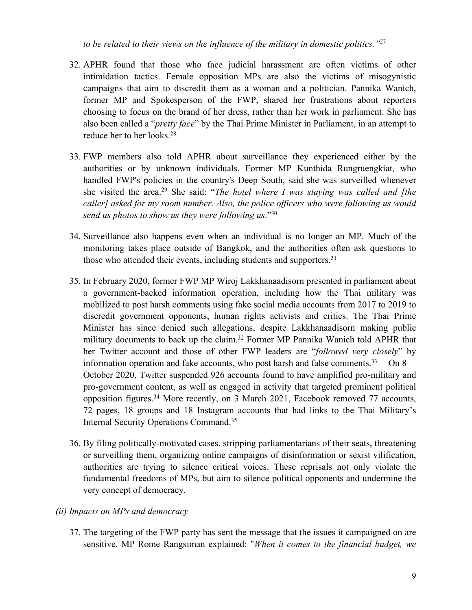*to be related to their views on the influence of the military in domestic politics."*<sup>27</sup>

- 32. APHR found that those who face judicial harassment are often victims of other intimidation tactics. Female opposition MPs are also the victims of misogynistic campaigns that aim to discredit them as <sup>a</sup> woman and <sup>a</sup> politician. Pannika Wanich, former MP and Spokesperson of the FWP, shared her frustrations about reporters choosing to focus on the brand of her dress, rather than her work in parliament. She has also been called <sup>a</sup> "*pretty face*" by the Thai Prime Minister in Parliament, in an attempt to reduce her to her looks. 28
- 33. FWP members also told APHR about surveillance they experienced either by the authorities or by unknown individuals. Former MP Kunthida Rungruengkiat, who handled FWP's policies in the country's Deep South, said she was surveilled whenever she visited the area. 29 She said: "*The hotel where I was staying was called and [the caller] asked for my room number. Also, the police officers who were following us would send us <sup>p</sup>hotos to show us they were following us*."<sup>30</sup>
- 34. Surveillance also happens even when an individual is no longer an MP. Much of the monitoring takes place outside of Bangkok, and the authorities often ask questions to those who attended their events, including students and supporters.<sup>31</sup>
- 35. In February 2020, former FWP MP Wiroj Lakkhanaadisorn presented in parliament about <sup>a</sup> government-backed information operation, including how the Thai military was mobilized to pos<sup>t</sup> harsh comments using fake social media accounts from 2017 to 2019 to discredit governmen<sup>t</sup> opponents, human rights activists and critics. The Thai Prime Minister has since denied such allegations, despite Lakkhanaadisorn making public military documents to back up the claim. 32 Former MP Pannika Wanich told APHR that her Twitter account and those of other FWP leaders are "*followed very closely*" by information operation and fake accounts, who post harsh and false comments.<sup>33</sup> On 8 October 2020, Twitter suspended 926 accounts found to have amplified pro-military and pro-governmen<sup>t</sup> content, as well as engaged in activity that targeted prominent political opposition figures. <sup>34</sup> More recently, on 3 March 2021, Facebook removed <sup>77</sup> accounts, 72 pages, 18 groups and 18 Instagram accounts that had links to the Thai Military'<sup>s</sup> Internal Security Operations Command. 35
- 36. By filing politically-motivated cases, stripping parliamentarians of their seats, threatening or surveilling them, organizing online campaigns of disinformation or sexist vilification, authorities are trying to silence critical voices. These reprisals not only violate the fundamental freedoms of MPs, but aim to silence political opponents and undermine the very concep<sup>t</sup> of democracy.
- *(ii) Impacts on MPs and democracy*
	- 37. The targeting of the FWP party has sent the message that the issues it campaigned on are sensitive. MP Rome Rangsiman explained: "*When it comes to the financial budget, we*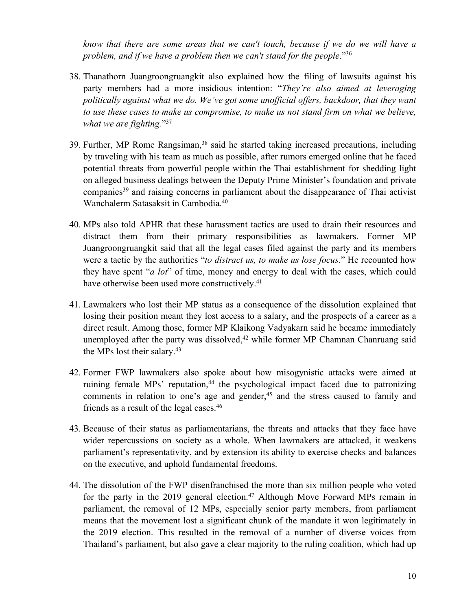*know that there are some areas that we can't touch, because if we do we will have <sup>a</sup> problem, and if we have <sup>a</sup> problem then we can't stand for the people*."<sup>36</sup>

- 38. Thanathorn Juangroongruangkit also explained how the filing of lawsuits against his party members had <sup>a</sup> more insidious intention: "*They're also aimed at leveraging politically against what we do. We've go<sup>t</sup> some unofficial offers, backdoor, that they want to use these cases to make us compromise, to make us not stand firm on what we believe, what we are fighting.*"<sup>37</sup>
- 39. Further, MP Rome Rangsiman,<sup>38</sup> said he started taking increased precautions, including by traveling with his team as much as possible, after rumors emerged online that he faced potential threats from powerful people within the Thai establishment for shedding light on alleged business dealings between the Deputy Prime Minister'<sup>s</sup> foundation and private companies<sup>39</sup> and raising concerns in parliament about the disappearance of Thai activist Wanchalerm Satasaksit in Cambodia. 40
- 40. MPs also told APHR that these harassment tactics are used to drain their resources and distract them from their primary responsibilities as lawmakers. Former MP Juangroongruangkit said that all the legal cases filed against the party and its members were <sup>a</sup> tactic by the authorities "*to distract us, to make us lose focus*." He recounted how they have spen<sup>t</sup> "*<sup>a</sup> lot*" of time, money and energy to deal with the cases, which could have otherwise been used more constructively.<sup>41</sup>
- 41. Lawmakers who lost their MP status as <sup>a</sup> consequence of the dissolution explained that losing their position meant they lost access to <sup>a</sup> salary, and the prospects of <sup>a</sup> career as <sup>a</sup> direct result. Among those, former MP Klaikong Vadyakarn said he became immediately unemployed after the party was dissolved, <sup>42</sup> while former MP Chamnan Chanruang said the MPs lost their salary.<sup>43</sup>
- 42. Former FWP lawmakers also spoke about how misogynistic attacks were aimed at ruining female MPs' reputation, 44 the psychological impact faced due to patronizing comments in relation to one'<sup>s</sup> age and gender, 45 and the stress caused to family and friends as <sup>a</sup> result of the legal cases. 46
- 43. Because of their status as parliamentarians, the threats and attacks that they face have wider repercussions on society as <sup>a</sup> whole. When lawmakers are attacked, it weakens parliament'<sup>s</sup> representativity, and by extension its ability to exercise checks and balances on the executive, and uphold fundamental freedoms.
- 44. The dissolution of the FWP disenfranchised the more than six million people who voted for the party in the 2019 general election. <sup>47</sup> Although Move Forward MPs remain in parliament, the removal of 12 MPs, especially senior party members, from parliament means that the movement lost <sup>a</sup> significant chunk of the mandate it won legitimately in the 2019 election. This resulted in the removal of <sup>a</sup> number of diverse voices from Thailand'<sup>s</sup> parliament, but also gave <sup>a</sup> clear majority to the ruling coalition, which had up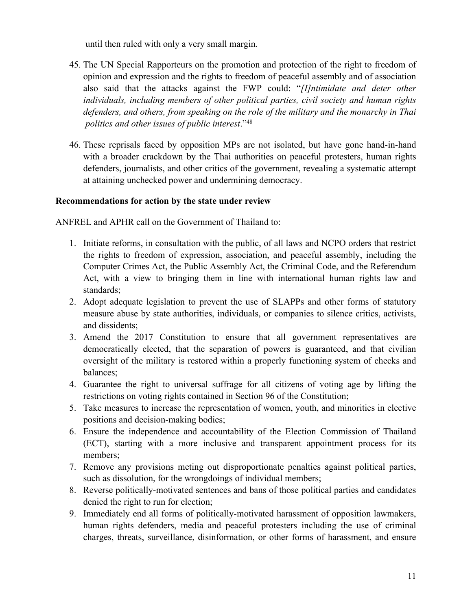until then ruled with only <sup>a</sup> very small margin.

- 45. The UN Special Rapporteurs on the promotion and protection of the right to freedom of opinion and expression and the rights to freedom of peaceful assembly and of association also said that the attacks against the FWP could: "*[I]ntimidate and deter other individuals, including members of other political parties, civil society and human rights defenders, and others, from speaking on the role of the military and the monarchy in Thai politics and other issues of public interest*."<sup>48</sup>
- 46. These reprisals faced by opposition MPs are not isolated, but have gone hand-in-hand with <sup>a</sup> broader crackdown by the Thai authorities on peaceful protesters, human rights defenders, journalists, and other critics of the government, revealing <sup>a</sup> systematic attempt at attaining unchecked power and undermining democracy.

### **Recommendations for action by the state under review**

ANFREL and APHR call on the Government of Thailand to:

- 1. Initiate reforms, in consultation with the public, of all laws and NCPO orders that restrict the rights to freedom of expression, association, and peaceful assembly, including the Computer Crimes Act, the Public Assembly Act, the Criminal Code, and the Referendum Act, with <sup>a</sup> view to bringing them in line with international human rights law and standards;
- 2. Adopt adequate legislation to preven<sup>t</sup> the use of SLAPPs and other forms of statutory measure abuse by state authorities, individuals, or companies to silence critics, activists, and dissidents;
- 3. Amend the 2017 Constitution to ensure that all governmen<sup>t</sup> representatives are democratically elected, that the separation of powers is guaranteed, and that civilian oversight of the military is restored within <sup>a</sup> properly functioning system of checks and balances;
- 4. Guarantee the right to universal suffrage for all citizens of voting age by lifting the restrictions on voting rights contained in Section 96 of the Constitution;
- 5. Take measures to increase the representation of women, youth, and minorities in elective positions and decision-making bodies;
- 6. Ensure the independence and accountability of the Election Commission of Thailand (ECT), starting with <sup>a</sup> more inclusive and transparent appointment process for its members;
- 7. Remove any provisions meting out disproportionate penalties against political parties, such as dissolution, for the wrongdoings of individual members;
- 8. Reverse politically-motivated sentences and bans of those political parties and candidates denied the right to run for election;
- 9. Immediately end all forms of politically-motivated harassment of opposition lawmakers, human rights defenders, media and peaceful protesters including the use of criminal charges, threats, surveillance, disinformation, or other forms of harassment, and ensure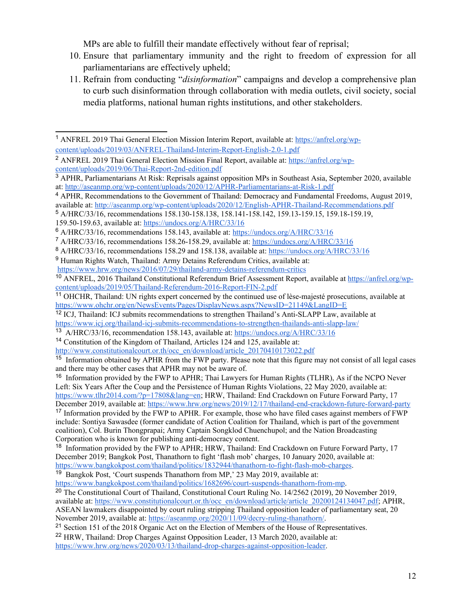MPs are able to fulfill their mandate effectively without fear of reprisal;

- 10. Ensure that parliamentary immunity and the right to freedom of expression for all parliamentarians are effectively upheld;
- 11. Refrain from conducting "*disinformation*" campaigns and develop <sup>a</sup> comprehensive plan to curb such disinformation through collaboration with media outlets, civil society, social media platforms, national human rights institutions, and other stakeholders.

8 A/HRC/33/16, recommendations 158.29 and 158.138, available at: <https://undocs.org/A/HRC/33/16>

- <sup>11</sup> OHCHR, Thailand: UN rights expert concerned by the continued use of lèse-majesté prosecutions, available at
- <https://www.ohchr.org/en/NewsEvents/Pages/DisplayNews.aspx?NewsID=21149&LangID=E><br><sup>12</sup> ICJ, Thailand: ICJ submits recommendations to strengthen Thailand's Anti-SLAPP Law, available at <https://www.icj.org/thailand-icj-submits-recommendations-to-strengthen-thailands-anti-slapp-law/>

- <sup>14</sup> Constitution of the Kingdom of Thailand, Articles 124 and 125, available at:
- [http://www.constitutionalcourt.or.th/occ\\_en/download/article\\_20170410173022.pdf](http://www.constitutionalcourt.or.th/occ_en/download/article_20170410173022.pdf)

<sup>1</sup> ANFREL <sup>2019</sup> Thai General Election Mission Interim Report, available at: [https://anfrel.org/wp](https://anfrel.org/wp-content/uploads/2019/03/ANFREL-Thailand-Interim-Report-English-2.0-1.pdf)[content/uploads/2019/03/ANFREL-Thailand-Interim-Report-English-2.0-1.pdf](https://anfrel.org/wp-content/uploads/2019/03/ANFREL-Thailand-Interim-Report-English-2.0-1.pdf)

<sup>2</sup> ANFREL <sup>2019</sup> Thai General Election Mission Final Report, available at: [https://anfrel.org/wp](https://anfrel.org/wp-content/uploads/2019/06/Thai-Report-2nd-edition.pdf)[content/uploads/2019/06/Thai-Report-2nd-edition.pdf](https://anfrel.org/wp-content/uploads/2019/06/Thai-Report-2nd-edition.pdf)

<sup>3</sup> APHR, Parliamentarians At Risk: Reprisals against opposition MPs in Southeast Asia, September 2020, available at: <http://aseanmp.org/wp-content/uploads/2020/12/APHR-Parliamentarians-at-Risk-1.pdf>

<sup>4</sup> APHR, Recommendations to the Government of Thailand: Democracy and Fundamental Freedoms, August 2019, available at: <http://aseanmp.org/wp-content/uploads/2020/12/English-APHR-Thailand-Recommendations.pdf>

<sup>5</sup> A/HRC/33/16, recommendations 158.130-158.138, 158.141-158.142, 159.13-159.15, 159.18-159.19,

<sup>159.50-159.63,</sup> available at: <https://undocs.org/A/HRC/33/16>

<sup>6</sup> A/HRC/33/16, recommendations 158.143, available at: <https://undocs.org/A/HRC/33/16>

<sup>7</sup> A/HRC/33/16, recommendations 158.26-158.29, available at: <https://undocs.org/A/HRC/33/16>

<sup>9</sup> Human Rights Watch, Thailand: Army Detains Referendum Critics, available at:

<https://www.hrw.org/news/2016/07/29/thailand-army-detains-referendum-critics>

<sup>&</sup>lt;sup>10</sup> ANFREL, 2016 Thailand Constitutional Referendum Brief Assessment Report, available at [https://anfrel.org/wp](https://anfrel.org/wp-content/uploads/2019/05/Thailand-Referendum-2016-Report-FIN-2.pdf)[content/uploads/2019/05/Thailand-Referendum-2016-Report-FIN-2.pdf](https://anfrel.org/wp-content/uploads/2019/05/Thailand-Referendum-2016-Report-FIN-2.pdf)

<sup>13</sup> A/HRC/33/16, recommendation 158.143, available at: <https://undocs.org/A/HRC/33/16>

<sup>&</sup>lt;sup>15</sup> Information obtained by APHR from the FWP party. Please note that this figure may not consist of all legal cases and there may be other cases that APHR may not be aware of.

<sup>&</sup>lt;sup>16</sup> Information provided by the FWP to APHR; Thai Lawyers for Human Rights (TLHR), As if the NCPO Never Left: Six Years After the Coup and the Persistence of Human Rights Violations, 22 May 2020, available at: <https://www.tlhr2014.com/?p=17808&lang=en>; HRW, Thailand: End Crackdown on Future Forward Party, 17 December 2019, available at: <https://www.hrw.org/news/2019/12/17/thailand-end-crackdown-future-forward-party>

<sup>&</sup>lt;sup>17</sup> Information provided by the FWP to APHR. For example, those who have filed cases against members of FWP include: Sontiya Sawasdee (former candidate of Action Coalition for Thailand, which is par<sup>t</sup> of the governmen<sup>t</sup> coalition), Col. Burin Thongprapai; Army Captain Songklod Chuenchupol; and the Nation Broadcasting Corporation who is known for publishing anti-democracy content.

<sup>&</sup>lt;sup>18</sup> Information provided by the FWP to APHR; HRW, Thailand: End Crackdown on Future Forward Party, 17 December 2019; Bangkok Post, Thanathorn to fight 'flash mob' charges, 10 January 2020, available at: <https://www.bangkokpost.com/thailand/politics/1832944/thanathorn-to-fight-flash-mob-charges>.

<sup>&</sup>lt;sup>19</sup> Bangkok Post, 'Court suspends Thanathorn from MP,' 23 May 2019, available at:

<https://www.bangkokpost.com/thailand/politics/1682696/court-suspends-thanathorn-from-mp>.

<sup>&</sup>lt;sup>20</sup> The Constitutional Court of Thailand, Constitutional Court Ruling No. 14/2562 (2019), 20 November 2019, available at: [https://www.constitutionalcourt.or.th/occ\\_en/download/article/article\\_20200124134047.pdf](https://www.constitutionalcourt.or.th/occ_en/download/article/article_20200124134047.pdf); APHR, ASEAN lawmakers disappointed by court ruling stripping Thailand opposition leader of parliamentary seat, 20 November 2019, available at: <https://aseanmp.org/2020/11/09/decry-ruling-thanathorn/>.

<sup>&</sup>lt;sup>21</sup> Section 151 of the 2018 Organic Act on the Election of Members of the House of Representatives.

<sup>&</sup>lt;sup>22</sup> HRW, Thailand: Drop Charges Against Opposition Leader, 13 March 2020, available at:

<https://www.hrw.org/news/2020/03/13/thailand-drop-charges-against-opposition-leader>.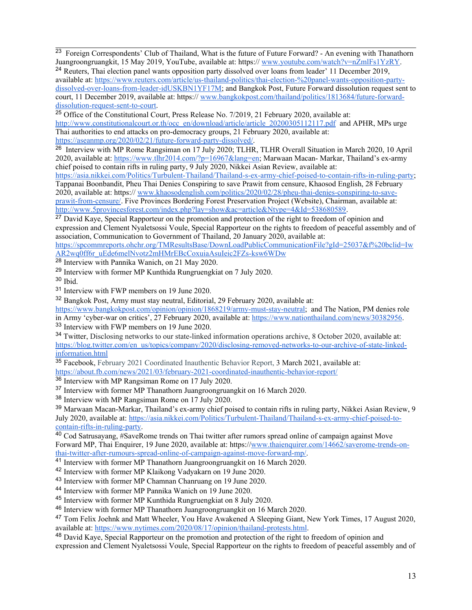<sup>23</sup> Foreign Correspondents' Club of Thailand, What is the future of Future Forward? - An evening with Thanathorn Juangroongruangkit, 15 May 2019, YouTube, available at: https:// www.you[tube.com/watch?v=nZmlFs1YzRY](http://www.youtube.com/watch?v=nZmlFs1YzRY).

<sup>24</sup> Reuters, Thai election panel wants opposition party dissolved over loans from leader' 11 December 2019, available at: [https://www.reuters.com/article/us-thailand-politics/thai-election-%20panel-wants-opposition-party](https://www.reuters.com/article/us-thailand-politics/thai-election-%20panel-wants-opposition-party-dissolved-over-loans-from-leader-idUSKBN1YF17M)[dissolved-over-loans-from-leader-idUSKBN1YF17M](https://www.reuters.com/article/us-thailand-politics/thai-election-%20panel-wants-opposition-party-dissolved-over-loans-from-leader-idUSKBN1YF17M); and Bangkok Post, Future Forward dissolution reques<sup>t</sup> sent to court, 11 December 2019, available at: https:// [www.bangkokpost.com/thailand/politics/1813684/future-forward](http://www.bangkokpost.com/thailand/politics/1813684/future-forward-dissolution-request-sent-to-court)[dissolution-request-sent-to-court](http://www.bangkokpost.com/thailand/politics/1813684/future-forward-dissolution-request-sent-to-court).

<sup>25</sup> Office of the Constitutional Court, Press Release No. 7/2019, 21 February 2020, available at: [http://www.constitutionalcourt.or.th/occ\\_en/download/article/article\\_20200305112117.pdf](http://www.constitutionalcourt.or.th/occ_en/download/article/article_20200305112117.pdf) and APHR, MPs urge Thai authorities to end attacks on pro-democracy groups, 21 February 2020, available at: <https://aseanmp.org/2020/02/21/future-forward-party-dissolved/>.

<sup>26</sup> Interview with MP Rome Rangsiman on 17 July 2020; TLHR, TLHR Overall Situation in March 2020, 10 April 2020, available at: <https://www.tlhr2014.com/?p=16967&lang=en>; Marwaan Macan- Markar, Thailand'<sup>s</sup> ex-army chief poised to contain rifts in ruling party, 9 July 2020, Nikkei Asian Review, available at:

<https://asia.nikkei.com/Politics/Turbulent-Thailand/Thailand-s-ex-army-chief-poised-to-contain-rifts-in-ruling-party>; Tappanai Boonbandit, Pheu Thai Denies Conspiring to save Prawit from censure, Khaosod English, 28 February 2020, available at: https:// [www.khaosodenglish.com/politics/2020/02/28/pheu-thai-denies-conspiring-to-save](http://www.khaosodenglish.com/politics/2020/02/28/pheu-thai-denies-conspiring-to-save-prawit-from-censure/)praw[it-from-censure/](http://www.khaosodenglish.com/politics/2020/02/28/pheu-thai-denies-conspiring-to-save-prawit-from-censure/). Five Provinces Bordering Forest Preservation Project (Website), Chairman, available at: <http://www.5provincesforest.com/index.php?lay=show&ac=article&Ntype=4&Id=538680589>.

<sup>27</sup> David Kaye, Special Rapporteur on the promotion and protection of the right to freedom of opinion and expression and Clement Nyaletsossi Voule, Special Rapporteur on the rights to freedom of peaceful assembly and of association, Communication to Government of Thailand, 20 January 2020, available at:

[https://spcommreports.ohchr.org/TMResultsBase/DownLoadPublicCommunicationFile?gId=25037&f%20bclid=Iw](https://spcommreports.ohchr.org/TMResultsBase/DownLoadPublicCommunicationFile?gId=25037&f%20bclid=IwAR2wq0ff6r_uEde6melNvotz2mHMrEBcCoxuiaAsuIeic2FZs-ksw6WDw) [AR2wq0ff6r\\_uEde6melNvotz2mHMrEBcCoxuiaAsuIeic2FZs-ksw6WDw](https://spcommreports.ohchr.org/TMResultsBase/DownLoadPublicCommunicationFile?gId=25037&f%20bclid=IwAR2wq0ff6r_uEde6melNvotz2mHMrEBcCoxuiaAsuIeic2FZs-ksw6WDw)

<sup>28</sup> Interview with Pannika Wanich, on 21 May 2020.

<sup>29</sup> Interview with former MP Kunthida Rungruengkiat on 7 July 2020.

<sup>30</sup> Ibid.

<sup>31</sup> Interview with FWP members on 19 June 2020.

<sup>32</sup> Bangkok Post, Army must stay neutral, Editorial, 29 February 2020, available at:

<https://www.bangkokpost.com/opinion/opinion/1868219/army-must-stay-neutral>; and The Nation, PM denies role in Army 'cyber-war on critics', 27 February 2020, available at: <https://www.nationthailand.com/news/30382956>.

<sup>33</sup> Interview with FWP members on 19 June 2020.

<sup>34</sup> Twitter, Disclosing networks to our state-linked information operations archive, 8 October 2020, available at: [https://blog.twitter.com/en\\_us/topics/company/2020/disclosing-removed-networks-to-our-archive-of-state-linked](https://blog.twitter.com/en_us/topics/company/2020/disclosing-removed-networks-to-our-archive-of-state-linked-information.html)[information.html](https://blog.twitter.com/en_us/topics/company/2020/disclosing-removed-networks-to-our-archive-of-state-linked-information.html)

<sup>35</sup> Facebook, February 2021 Coordinated Inauthentic Behavior Report, 3 March 2021, available at: <https://about.fb.com/news/2021/03/february-2021-coordinated-inauthentic-behavior-report/><br><sup>36</sup> Interview with MP Rangsiman Rome on 17 July 2020.

<sup>37</sup> Interview with former MP Thanathorn Juangroongruangkit on 16 March 2020.

<sup>38</sup> Interview with MP Rangsiman Rome on 17 July 2020.

<sup>39</sup> Marwaan Macan-Markar, Thailand'<sup>s</sup> ex-army chief poised to contain rifts in ruling party, Nikkei Asian Review, <sup>9</sup> July 2020, available at: [https://asia.nikkei.com/Politics/Turbulent-Thailand/Thailand-s-ex-army-chief-poised-to](https://asia.nikkei.com/Politics/Turbulent-Thailand/Thailand-s-ex-army-chief-poised-to-contain-rifts-in-ruling-party)[contain-rifts-in-ruling-party](https://asia.nikkei.com/Politics/Turbulent-Thailand/Thailand-s-ex-army-chief-poised-to-contain-rifts-in-ruling-party).

<sup>40</sup> Cod Satrusayang, #SaveRome trends on Thai twitter after rumors spread online of campaign against Move Forward MP, Thai Enquirer, 19 June 2020, available at: https://[www.thaienquirer.com/14662/saverome-trends-on-](http://www.thaienquirer.com/14662/saverome-trends-on-thai-twitter-after-rumours-spread-online-of-campaign-against-move-forward-mp/)

[thai-twitter-after-rumours-spread-online-of-campaign-against-move-forward-mp/](http://www.thaienquirer.com/14662/saverome-trends-on-thai-twitter-after-rumours-spread-online-of-campaign-against-move-forward-mp/).<br><sup>41</sup> Interview with former MP Thanathorn Juangroongruangkit on 16 March 2020.

<sup>42</sup> Interview with former MP Klaikong Vadyakarn on 19 June 2020.

<sup>43</sup> Interview with former MP Chamnan Chanruang on 19 June 2020.

44 Interview with former MP Pannika Wanich on 19 June 2020.

<sup>45</sup> Interview with former MP Kunthida Rungruengkiat on 8 July 2020.

<sup>46</sup> Interview with former MP Thanathorn Juangroongruangkit on 16 March 2020.

<sup>47</sup> Tom Felix Joehnk and Matt Wheeler, You Have Awakened A Sleeping Giant, New York Times, 17 August 2020, available at: <https://www.nytimes.com/2020/08/17/opinion/thailand-protests.html>.

<sup>48</sup> David Kaye, Special Rapporteur on the promotion and protection of the right to freedom of opinion and

expression and Clement Nyaletsossi Voule, Special Rapporteur on the rights to freedom of peaceful assembly and of